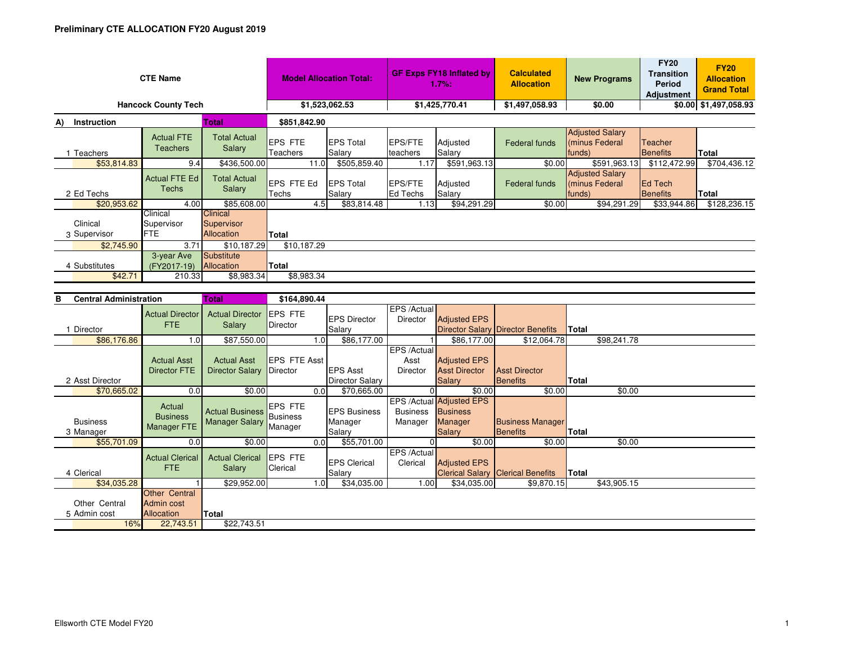| <b>CTE Name</b>                   |                                      |                                             | <b>Model Allocation Total:</b> |                            | <b>GF Exps FY18 Inflated by</b><br>1.7%: |                    | <b>Calculated</b><br><b>Allocation</b> | <b>New Programs</b>                                | <b>FY20</b><br><b>Transition</b><br><b>Period</b><br><b>Adjustment</b> | <b>FY20</b><br><b>Allocation</b><br><b>Grand Total</b> |  |
|-----------------------------------|--------------------------------------|---------------------------------------------|--------------------------------|----------------------------|------------------------------------------|--------------------|----------------------------------------|----------------------------------------------------|------------------------------------------------------------------------|--------------------------------------------------------|--|
| <b>Hancock County Tech</b>        | \$1,523,062.53                       |                                             | \$1,425,770.41                 |                            | \$1,497,058.93                           | \$0.00             |                                        | \$0.00 \$1,497,058.93                              |                                                                        |                                                        |  |
| Instruction<br><b>Total</b><br>A) |                                      |                                             | \$851,842.90                   |                            |                                          |                    |                                        |                                                    |                                                                        |                                                        |  |
| Teachers                          | <b>Actual FTE</b><br><b>Teachers</b> | <b>Total Actual</b><br>Salary               | <b>EPS FTE</b><br>Teachers     | <b>EPS Total</b><br>Salary | <b>EPS/FTE</b><br>teachers               | Adjusted<br>Salary | <b>Federal funds</b>                   | <b>Adjusted Salary</b><br>(minus Federal<br>funds) | Teacher<br>Benefits                                                    | <b>Total</b>                                           |  |
| \$53,814.83                       | 9.4                                  | \$436,500.00                                | 11.0                           | \$505,859.40               | 1.17                                     | \$591,963.13       | \$0.00                                 | \$591,963.13                                       | \$112,472.99                                                           | \$704,436.12                                           |  |
| 2 Ed Techs                        | <b>Actual FTE Ed</b><br>Techs        | <b>Total Actual</b><br>Salary               | <b>EPS FTE Ed</b><br>Techs     | <b>EPS Total</b><br>Salary | <b>EPS/FTE</b><br><b>Ed Techs</b>        | Adjusted<br>Salary | Federal funds                          | <b>Adjusted Salary</b><br>(minus Federal<br>funds) | <b>Ed Tech</b><br>Benefits                                             | Total                                                  |  |
| \$20,953.62                       | 4.00                                 | \$85,608.00                                 | 4.5                            | \$83,814.48                | 1.13                                     | \$94,291.29        | \$0.00                                 | \$94,291.29                                        | \$33,944.86                                                            | \$128,236.15                                           |  |
| Clinical<br>3 Supervisor          | Clinical<br>Supervisor<br>FTE        | <b>Clinical</b><br>Supervisor<br>Allocation | <b>Total</b>                   |                            |                                          |                    |                                        |                                                    |                                                                        |                                                        |  |
| \$2,745.90                        | 3.71                                 | \$10,187.29                                 | \$10,187.29                    |                            |                                          |                    |                                        |                                                    |                                                                        |                                                        |  |
| 4 Substitutes<br>\$42.71          | 3-year Ave<br>(FY2017-19)<br>210.33  | Substitute<br>Allocation<br>\$8,983.34      | Total<br>\$8,983.34            |                            |                                          |                    |                                        |                                                    |                                                                        |                                                        |  |

| <b>Central Administration</b><br>в |                                      | Total                            | \$164,890.44                |                               |                                |                                             |                                          |              |  |
|------------------------------------|--------------------------------------|----------------------------------|-----------------------------|-------------------------------|--------------------------------|---------------------------------------------|------------------------------------------|--------------|--|
|                                    | <b>Actual Director</b><br>FTE.       | <b>Actual Director</b>           | <b>EPS FTE</b>              | <b>EPS Director</b>           | EPS /Actual<br><b>Director</b> | <b>Adjusted EPS</b>                         |                                          |              |  |
| Director                           |                                      | Salary                           | Director                    | Salary                        |                                |                                             | <b>Director Salary Director Benefits</b> | Total        |  |
| \$86,176.86                        | 1.0                                  | \$87,550.00                      |                             | \$86,177.00<br>1.01           |                                | \$86,177.00                                 | \$12,064.78                              | \$98,241.78  |  |
|                                    |                                      |                                  |                             |                               | EPS /Actual                    |                                             |                                          |              |  |
|                                    | <b>Actual Asst</b>                   | <b>Actual Asst</b>               | <b>EPS FTE Asst</b>         |                               | Asst                           | <b>Adjusted EPS</b>                         |                                          |              |  |
|                                    | Director FTE                         | <b>Director Salary</b>           | Director                    | <b>EPS Asst</b>               | <b>Director</b>                | <b>Asst Director</b>                        | <b>Asst Director</b>                     |              |  |
| 2 Asst Director                    |                                      |                                  |                             | <b>Director Salary</b>        |                                | <b>Salary</b>                               | Benefits                                 | Total        |  |
| \$70,665.02                        | 0.0                                  | \$0.00                           |                             | \$70,665.00<br>0.0            |                                | \$0.00                                      | \$0.00                                   | \$0.00       |  |
|                                    | Actual<br><b>Business</b>            | <b>Actual Business</b> Business  | <b>EPS FTE</b>              | <b>EPS Business</b>           | <b>Business</b>                | EPS /Actual Adjusted EPS<br><b>Business</b> |                                          |              |  |
| <b>Business</b>                    | Manager FTE                          | <b>Manager Salary</b>            |                             | Manager                       | Manager                        | Manager                                     | <b>Business Manager</b>                  |              |  |
| 3 Manager                          |                                      |                                  | Manager                     | Salary                        |                                | <b>Salary</b>                               | <b>Benefits</b>                          | <b>Total</b> |  |
| \$55,701.09                        | 0.0                                  | \$0.00                           |                             | \$55,701.00<br>0.0            |                                | \$0.00                                      | \$0.00                                   | \$0.00       |  |
| 4 Clerical                         | <b>Actual Clerical</b><br><b>FTE</b> | <b>Actual Clerical</b><br>Salary | <b>IEPS FTE</b><br>Clerical | <b>EPS Clerical</b><br>Salary | EPS /Actual<br>Clerical        | <b>Adjusted EPS</b>                         | <b>Clerical Salary Clerical Benefits</b> | Total        |  |
| \$34,035.28                        |                                      | \$29,952.00                      |                             | \$34,035.00<br>1.0            | 1.00                           | \$34,035.00                                 | \$9,870.15                               | \$43,905.15  |  |
|                                    | Other Central                        |                                  |                             |                               |                                |                                             |                                          |              |  |
| Other Central                      | Admin cost                           |                                  |                             |                               |                                |                                             |                                          |              |  |
| 5 Admin cost                       | Allocation                           | Total                            |                             |                               |                                |                                             |                                          |              |  |
| 16%                                | 22,743.51                            | \$22,743.51                      |                             |                               |                                |                                             |                                          |              |  |
|                                    |                                      |                                  |                             |                               |                                |                                             |                                          |              |  |